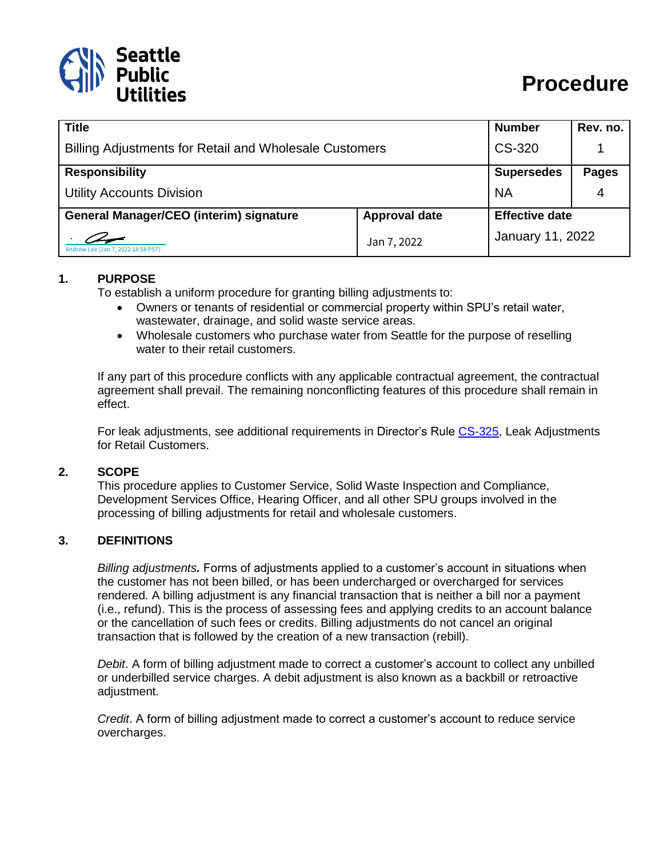

| <b>Title</b>                                                  |                      | <b>Number</b>     | Rev. no.              |  |
|---------------------------------------------------------------|----------------------|-------------------|-----------------------|--|
| <b>Billing Adjustments for Retail and Wholesale Customers</b> |                      | CS-320            |                       |  |
| <b>Responsibility</b>                                         |                      | <b>Supersedes</b> | <b>Pages</b>          |  |
| <b>Utility Accounts Division</b>                              |                      | <b>NA</b>         | 4                     |  |
| <b>General Manager/CEO (interim) signature</b>                | <b>Approval date</b> |                   | <b>Effective date</b> |  |
| Andrew Lee (Jan 7, 2022 18:58 PST)                            | Jan 7, 2022          |                   | January 11, 2022      |  |

### **1. PURPOSE**

To establish a uniform procedure for granting billing adjustments to:

- Owners or tenants of residential or commercial property within SPU's retail water, wastewater, drainage, and solid waste service areas.
- Wholesale customers who purchase water from Seattle for the purpose of reselling water to their retail customers.

If any part of this procedure conflicts with any applicable contractual agreement, the contractual agreement shall prevail. The remaining nonconflicting features of this procedure shall remain in effect.

For leak adjustments, see additional requirements in Director's Rule [CS-325,](http://www.seattle.gov/Documents/Departments/SPU/Documents/CS-325Leak_Adjustments_Final.pdf) Leak Adjustments for Retail Customers.

### **2. SCOPE**

This procedure applies to Customer Service, Solid Waste Inspection and Compliance, Development Services Office, Hearing Officer, and all other SPU groups involved in the processing of billing adjustments for retail and wholesale customers.

### **3. DEFINITIONS**

*Billing adjustments.* Forms of adjustments applied to a customer's account in situations when the customer has not been billed, or has been undercharged or overcharged for services rendered. A billing adjustment is any financial transaction that is neither a bill nor a payment (i.e., refund). This is the process of assessing fees and applying credits to an account balance or the cancellation of such fees or credits. Billing adjustments do not cancel an original transaction that is followed by the creation of a new transaction (rebill).

*Debit*. A form of billing adjustment made to correct a customer's account to collect any unbilled or underbilled service charges. A debit adjustment is also known as a backbill or retroactive adjustment.

*Credit*. A form of billing adjustment made to correct a customer's account to reduce service overcharges.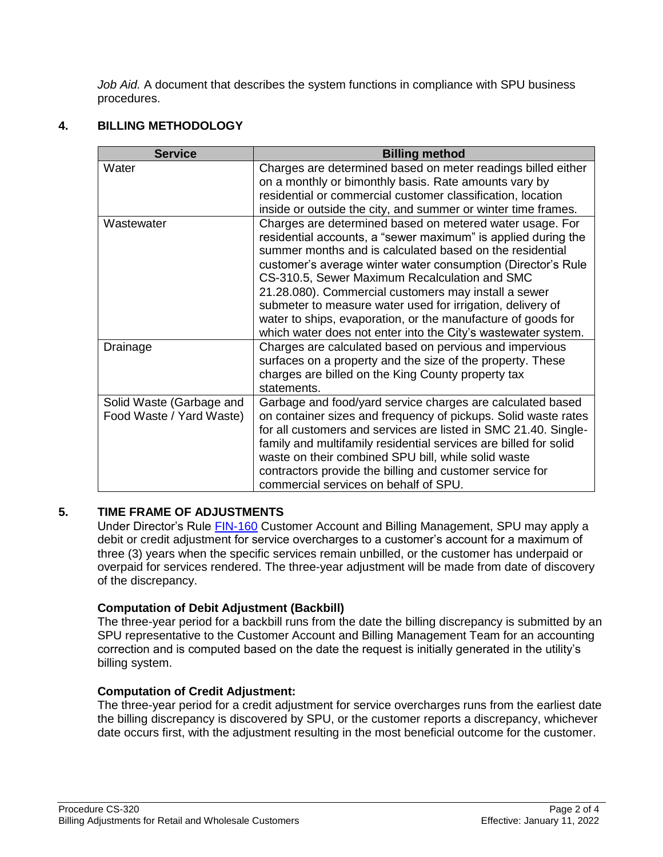*Job Aid.* A document that describes the system functions in compliance with SPU business procedures.

# **4. BILLING METHODOLOGY**

| <b>Service</b>                                       | <b>Billing method</b>                                                                                                                                                                                                                                                                                                                                                                                                                                                                                                                                         |
|------------------------------------------------------|---------------------------------------------------------------------------------------------------------------------------------------------------------------------------------------------------------------------------------------------------------------------------------------------------------------------------------------------------------------------------------------------------------------------------------------------------------------------------------------------------------------------------------------------------------------|
| Water                                                | Charges are determined based on meter readings billed either<br>on a monthly or bimonthly basis. Rate amounts vary by<br>residential or commercial customer classification, location<br>inside or outside the city, and summer or winter time frames.                                                                                                                                                                                                                                                                                                         |
| Wastewater                                           | Charges are determined based on metered water usage. For<br>residential accounts, a "sewer maximum" is applied during the<br>summer months and is calculated based on the residential<br>customer's average winter water consumption (Director's Rule<br>CS-310.5, Sewer Maximum Recalculation and SMC<br>21.28.080). Commercial customers may install a sewer<br>submeter to measure water used for irrigation, delivery of<br>water to ships, evaporation, or the manufacture of goods for<br>which water does not enter into the City's wastewater system. |
| Drainage                                             | Charges are calculated based on pervious and impervious<br>surfaces on a property and the size of the property. These<br>charges are billed on the King County property tax<br>statements.                                                                                                                                                                                                                                                                                                                                                                    |
| Solid Waste (Garbage and<br>Food Waste / Yard Waste) | Garbage and food/yard service charges are calculated based<br>on container sizes and frequency of pickups. Solid waste rates<br>for all customers and services are listed in SMC 21.40. Single-<br>family and multifamily residential services are billed for solid<br>waste on their combined SPU bill, while solid waste<br>contractors provide the billing and customer service for<br>commercial services on behalf of SPU.                                                                                                                               |

## **5. TIME FRAME OF ADJUSTMENTS**

Under Director's Rule [FIN-160](http://www.seattle.gov/Documents/Departments/SPU/Documents/FIN160_Customer_Account_Billing.pdf) Customer Account and Billing Management, SPU may apply a debit or credit adjustment for service overcharges to a customer's account for a maximum of three (3) years when the specific services remain unbilled, or the customer has underpaid or overpaid for services rendered. The three-year adjustment will be made from date of discovery of the discrepancy.

## **Computation of Debit Adjustment (Backbill)**

The three-year period for a backbill runs from the date the billing discrepancy is submitted by an SPU representative to the Customer Account and Billing Management Team for an accounting correction and is computed based on the date the request is initially generated in the utility's billing system.

### **Computation of Credit Adjustment:**

The three-year period for a credit adjustment for service overcharges runs from the earliest date the billing discrepancy is discovered by SPU, or the customer reports a discrepancy, whichever date occurs first, with the adjustment resulting in the most beneficial outcome for the customer.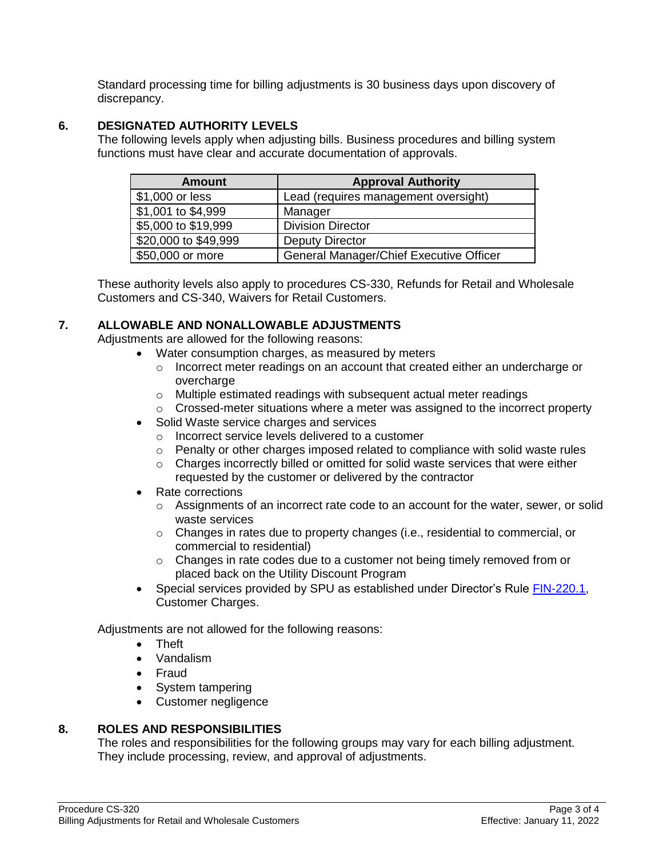Standard processing time for billing adjustments is 30 business days upon discovery of discrepancy.

### **6. DESIGNATED AUTHORITY LEVELS**

The following levels apply when adjusting bills. Business procedures and billing system functions must have clear and accurate documentation of approvals.

| <b>Amount</b>        | <b>Approval Authority</b>               |
|----------------------|-----------------------------------------|
| \$1,000 or less      | Lead (requires management oversight)    |
| \$1,001 to \$4,999   | Manager                                 |
| \$5,000 to \$19,999  | <b>Division Director</b>                |
| \$20,000 to \$49,999 | <b>Deputy Director</b>                  |
| \$50,000 or more     | General Manager/Chief Executive Officer |

These authority levels also apply to procedures CS-330, Refunds for Retail and Wholesale Customers and CS-340, Waivers for Retail Customers.

### **7. ALLOWABLE AND NONALLOWABLE ADJUSTMENTS**

Adjustments are allowed for the following reasons:

- Water consumption charges, as measured by meters
	- $\circ$  Incorrect meter readings on an account that created either an undercharge or overcharge
	- o Multiple estimated readings with subsequent actual meter readings
	- $\circ$  Crossed-meter situations where a meter was assigned to the incorrect property
- Solid Waste service charges and services
	- o Incorrect service levels delivered to a customer
	- $\circ$  Penalty or other charges imposed related to compliance with solid waste rules
	- o Charges incorrectly billed or omitted for solid waste services that were either requested by the customer or delivered by the contractor
- Rate corrections
	- $\circ$  Assignments of an incorrect rate code to an account for the water, sewer, or solid waste services
	- $\circ$  Changes in rates due to property changes (i.e., residential to commercial, or commercial to residential)
	- o Changes in rate codes due to a customer not being timely removed from or placed back on the Utility Discount Program
- Special services provided by SPU as established under Director's Rule [FIN-220.1,](http://www.seattle.gov/Documents/Departments/SPU/Documents/1_078972.pdf) Customer Charges.

Adjustments are not allowed for the following reasons:

- Theft
- Vandalism
- Fraud
- System tampering
- Customer negligence

### **8. ROLES AND RESPONSIBILITIES**

The roles and responsibilities for the following groups may vary for each billing adjustment. They include processing, review, and approval of adjustments.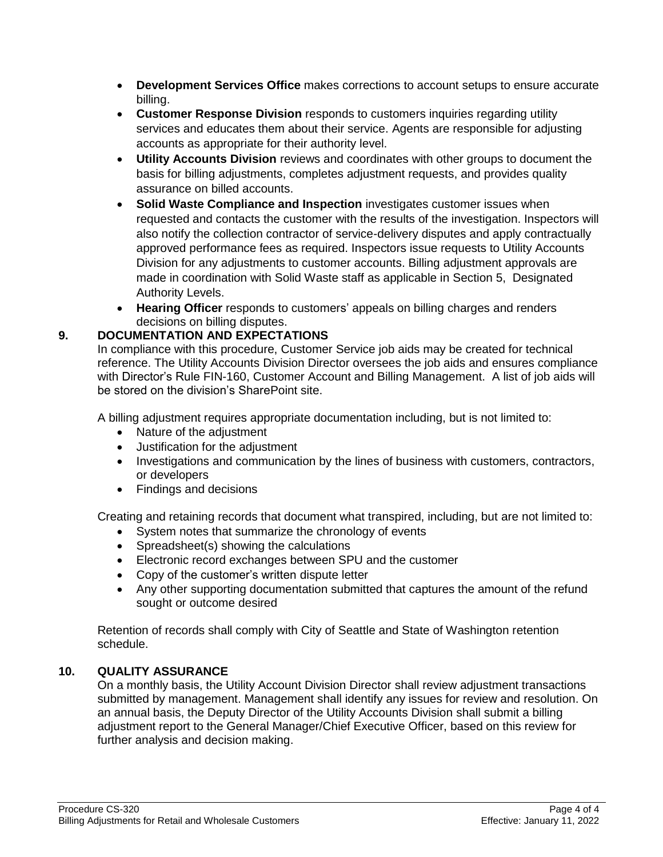- **Development Services Office** makes corrections to account setups to ensure accurate billing.
- **Customer Response Division** responds to customers inquiries regarding utility services and educates them about their service. Agents are responsible for adjusting accounts as appropriate for their authority level.
- **Utility Accounts Division** reviews and coordinates with other groups to document the basis for billing adjustments, completes adjustment requests, and provides quality assurance on billed accounts.
- **Solid Waste Compliance and Inspection** investigates customer issues when requested and contacts the customer with the results of the investigation. Inspectors will also notify the collection contractor of service-delivery disputes and apply contractually approved performance fees as required. Inspectors issue requests to Utility Accounts Division for any adjustments to customer accounts. Billing adjustment approvals are made in coordination with Solid Waste staff as applicable in Section 5, Designated Authority Levels.
- **Hearing Officer** responds to customers' appeals on billing charges and renders decisions on billing disputes.

# **9. DOCUMENTATION AND EXPECTATIONS**

In compliance with this procedure, Customer Service job aids may be created for technical reference. The Utility Accounts Division Director oversees the job aids and ensures compliance with Director's Rule FIN-160, Customer Account and Billing Management. A list of job aids will be stored on the division's SharePoint site.

A billing adjustment requires appropriate documentation including, but is not limited to:

- Nature of the adjustment
- Justification for the adjustment
- Investigations and communication by the lines of business with customers, contractors, or developers
- Findings and decisions

Creating and retaining records that document what transpired, including, but are not limited to:

- System notes that summarize the chronology of events
- Spreadsheet(s) showing the calculations
- Electronic record exchanges between SPU and the customer
- Copy of the customer's written dispute letter
- Any other supporting documentation submitted that captures the amount of the refund sought or outcome desired

Retention of records shall comply with City of Seattle and State of Washington retention schedule.

### **10. QUALITY ASSURANCE**

On a monthly basis, the Utility Account Division Director shall review adjustment transactions submitted by management. Management shall identify any issues for review and resolution. On an annual basis, the Deputy Director of the Utility Accounts Division shall submit a billing adjustment report to the General Manager/Chief Executive Officer, based on this review for further analysis and decision making.